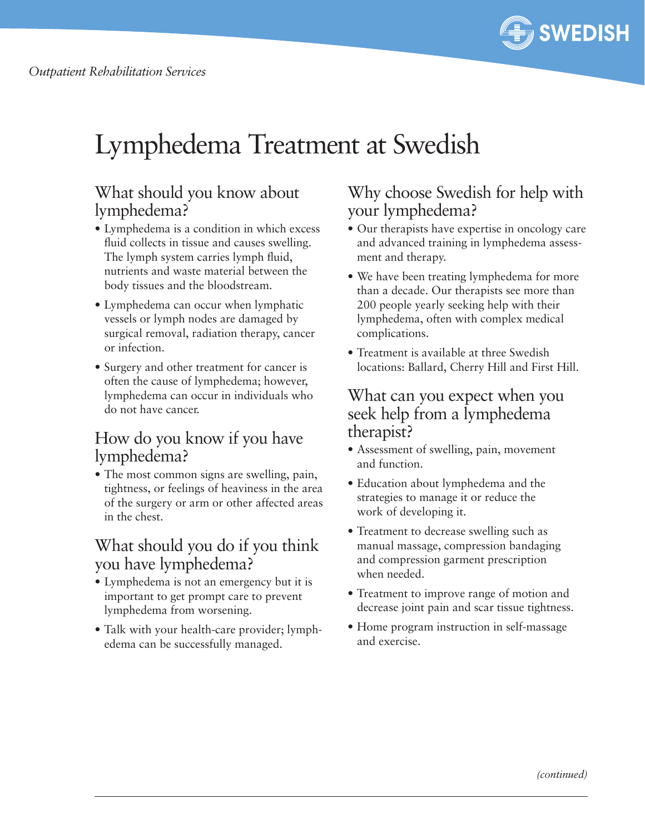

# Lymphedema Treatment at Swedish

### What should you know about lymphedema?

- **•** Lymphedema is a condition in which excess fluid collects in tissue and causes swelling. The lymph system carries lymph fluid, nutrients and waste material between the body tissues and the bloodstream.
- Lymphedema can occur when lymphatic vessels or lymph nodes are damaged by surgical removal, radiation therapy, cancer or infection.
- Surgery and other treatment for cancer is often the cause of lymphedema; however, lymphedema can occur in individuals who do not have cancer.

### How do you know if you have lymphedema?

**•** The most common signs are swelling, pain, tightness, or feelings of heaviness in the area of the surgery or arm or other affected areas in the chest.

### What should you do if you think you have lymphedema?

- Lymphedema is not an emergency but it is important to get prompt care to prevent lymphedema from worsening.
- Talk with your health-care provider; lymphedema can be successfully managed.

### Why choose Swedish for help with your lymphedema?

- Our therapists have expertise in oncology care and advanced training in lymphedema assessment and therapy.
- We have been treating lymphedema for more than a decade. Our therapists see more than 200 people yearly seeking help with their lymphedema, often with complex medical complications.
- Treatment is available at three Swedish locations: Ballard, Cherry Hill and First Hill.

#### What can you expect when you seek help from a lymphedema therapist?

- • Assessment of swelling, pain, movement and function.
- Education about lymphedema and the strategies to manage it or reduce the work of developing it.
- Treatment to decrease swelling such as manual massage, compression bandaging and compression garment prescription when needed.
- Treatment to improve range of motion and decrease joint pain and scar tissue tightness.
- Home program instruction in self-massage and exercise.